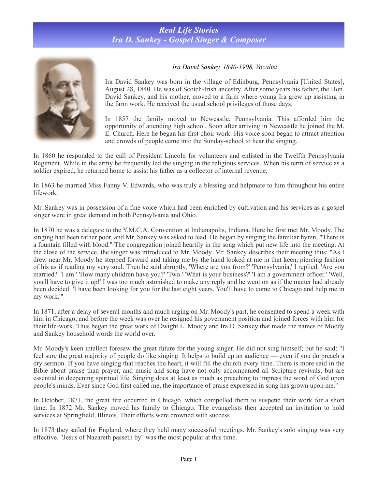## *Real Life Stories Ira D. Sankey - Gospel Singer & Composer*



## *Ira David Sankey, 1840-1908, Vocalist*

Ira David Sankey was born in the village of Edinburg, Pennsylvania [United States], August 28, 1840. He was of Scotch-Irish ancestry. After some years his father, the Hon. David Sankey, and his mother, moved to a farm where young Ira grew up assisting in the farm work. He received the usual school privileges of those days.

In 1857 the family moved to Newcastle, Pennsylvania. This afforded him the opportunity of attending high school. Soon after arriving in Newcastle he joined the M. E. Church. Here he began his first choir work. His voice soon began to attract attention and crowds of people came into the Sunday-school to hear the singing.

In 1860 he responded to the call of President Lincoln for volunteers and enlisted in the Twelfth Pennsylvania Regiment. While in the army he frequently led the singing in the religious services. When his term of service as a soldier expired, he returned home to assist his father as a collector of internal revenue.

In 1863 he married Miss Fanny V. Edwards, who was truly a blessing and helpmate to him throughout his entire lifework.

Mr. Sankey was in possession of a fine voice which had been enriched by cultivation and his services as a gospel singer were in great demand in both Pennsylvania and Ohio.

In 1870 he was a delegate to the Y.M.C.A. Convention at Indianapolis, Indiana. Here he first met Mr. Moody. The singing had been rather poor, and Mr. Sankey was asked to lead. He began by singing the familiar hymn, "There is a fountain filled with blood." The congregation joined heartily in the song which put new life into the meeting. At the close of the service, the singer was introduced to Mr. Moody. Mr. Sankey describes their meeting thus: "As I drew near Mr. Moody he stepped forward and taking me by the hand looked at me in that keen, piercing fashion of his as if reading my very soul. Then he said abruptly, 'Where are you from?' 'Pennsylvania,' I replied. 'Are you married?' 'I am.' 'How many children have you?' 'Two.' 'What is your business?' 'I am a government officer.' 'Well, you'll have to give it up!' I was too much astonished to make any reply and he went on as if the matter had already been decided: 'I have been looking for you for the last eight years. You'll have to come to Chicago and help me in my work.'"

In 1871, after a delay of several months and much urging on Mr. Moody's part, he consented to spend a week with him in Chicago; and before the week was over he resigned his government position and joined forces with him for their life-work. Thus began the great work of Dwight L. Moody and Ira D. Sankey that made the names of Moody and Sankey household words the world over.

Mr. Moody's keen intellect foresaw the great future for the young singer. He did not sing himself; but he said: "I feel sure the great majority of people do like singing. It helps to build up an audience — even if you do preach a dry sermon. If you have singing that reaches the heart, it will fill the church every time. There is more said in the Bible about praise than prayer, and music and song have not only accompanied all Scripture revivals, but are essential in deepening spiritual life. Singing does at least as much as preaching to impress the word of God upon people's minds. Ever since God first called me, the importance of praise expressed in song has grown upon me."

In October, 1871, the great fire occurred in Chicago, which compelled them to suspend their work for a short time. In 1872 Mr. Sankey moved his family to Chicago. The evangelists then accepted an invitation to hold services at Springfield, Illinois. Their efforts were crowned with success.

In 1873 they sailed for England, where they held many successful meetings. Mr. Sankey's solo singing was very effective. "Jesus of Nazareth passeth by" was the most popular at this time.